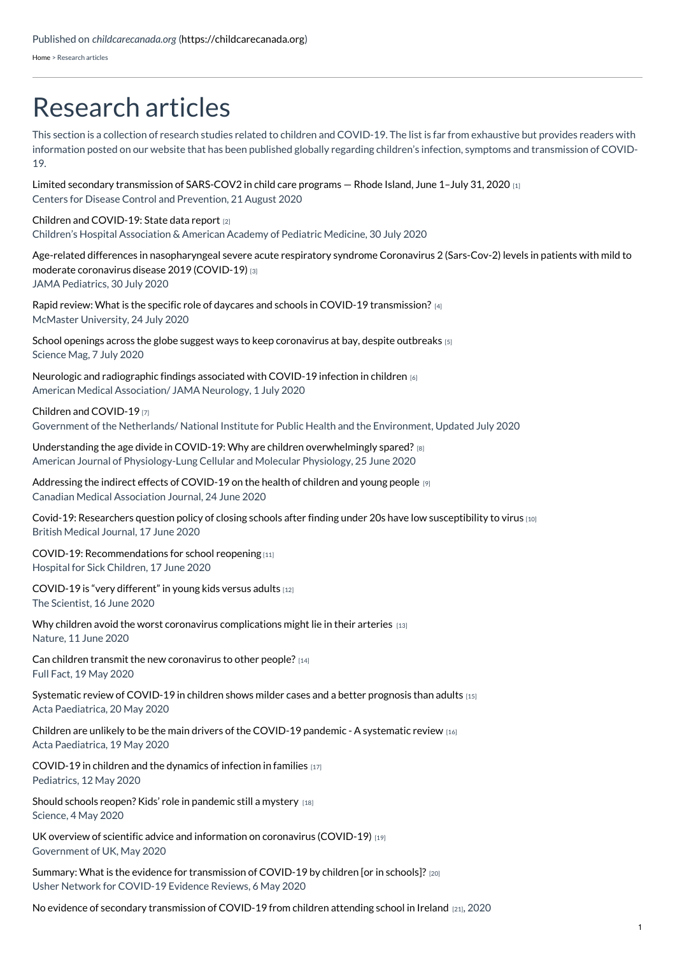[Home](https://childcarecanada.org/) > Research articles

## Research articles

This section is a collection of research studies related to children and COVID-19. The list is far from exhaustive but provides readers with information posted on our website that has been published globally regarding children's infection, symptoms and transmission of COVID-19.

Limited secondary [transmission](https://childcarecanada.org/documents/research-policy-practice/20/08/limited-secondary-transmission-sars-cov2-child-care) of SARS-COV2 in child care programs — Rhode Island, June 1–July 31, 2020 [1] Centers for Disease Control and Prevention, 21 August 2020

## Children and [COVID-19:](https://childcarecanada.org/documents/research-policy-practice/20/08/children-and-covid-19-state-data-report) State data report [2]

Children's Hospital Association & American Academy of Pediatric Medicine, 30 July 2020

Age-related differences in [nasopharyngeal](https://childcarecanada.org/documents/research-policy-practice/20/08/age-related-differences-nasopharyngeal-severe-acute) severe acute respiratory syndrome Coronavirus 2 (Sars-Cov-2) levels in patients with mild to moderate coronavirus disease 2019 (COVID-19) [3] JAMA Pediatrics, 30 July 2020

Rapid review: What is the specific role of daycares and schools in COVID-19 [transmission?](https://childcarecanada.org/documents/research-policy-practice/20/07/rapid-review-what-specific-role-daycares-and-schools-covid)  $\vert A \vert$ McMaster University, 24 July 2020

School openings across the globe suggest ways to keep [coronavirus](https://childcarecanada.org/documents/research-policy-practice/20/07/school-openings-across-globe-suggest-ways-keep-coronavirus) at bay, despite outbreaks [5] Science Mag, 7 July 2020

Neurologic and [radiographic](https://childcarecanada.org/documents/research-policy-practice/20/07/neurologic-and-radiographic-findings-associated-covid-19) findings associated with COVID-19 infection in children [6] American Medical Association/ JAMA Neurology, 1 July 2020

Children and [COVID-19](https://childcarecanada.org/documents/research-policy-practice/20/04/children-and-covid-19) [7]

Government of the Netherlands/ National Institute for Public Health and the Environment, Updated July 2020

| Understanding the age divide in COVID-19: Why are children overwhelmingly spared? $_{[8]}$ |
|--------------------------------------------------------------------------------------------|
| American Journal of Physiology-Lung Cellular and Molecular Physiology, 25 June 2020        |

[Addressing](https://childcarecanada.org/documents/research-policy-practice/20/06/addressing-indirect-effects-covid-19-health-children-and) the indirect effects of COVID-19 on the health of children and young people [9] Canadian Medical Association Journal, 24 June 2020

Covid-19: Researchers question policy of closing schools after finding under 20s have low [susceptibility](https://childcarecanada.org/documents/research-policy-practice/20/06/covid-19-researchers-question-policy-closing-schools-after) to virus [10] British Medical Journal, 17 June 2020

COVID-19: [Recommendations](https://childcarecanada.org/documents/research-policy-practice/20/06/covid-19-recommendations-school-reopening) for school reopening [11] Hospital for Sick Children, 17 June 2020

## [COVID-19](https://childcarecanada.org/documents/research-policy-practice/20/06/covid-19-very-different-young-kids-versus-adults) is "very different" in young kids versus adults [12]

The Scientist, 16 June 2020

Why children avoid the worst coronavirus [complications](https://childcarecanada.org/documents/research-policy-practice/20/06/why-children-avoid-worst-coronavirus-complications-might) might lie in their arteries  $[13]$ Nature, 11 June 2020

Can children transmit the new [coronavirus](https://childcarecanada.org/documents/research-policy-practice/20/05/can-children-transmit-new-coronavirus-other-people) to other people? [14] Full Fact, 19 May 2020

[Systematic](https://childcarecanada.org/documents/research-policy-practice/20/06/systematic-review-covid-19-children-shows-milder-cases-and) review of COVID-19 in children shows milder cases and a better prognosis than adults [15] Acta Paediatrica, 20 May 2020

Children are unlikely to be the main drivers of the [COVID-19](https://childcarecanada.org/documents/research-policy-practice/20/06/children-are-unlikely-be-main-drivers-covid-19-pandemic) pandemic - A systematic review  $16$ Acta Paediatrica, 19 May 2020

[COVID-19](https://childcarecanada.org/documents/research-policy-practice/20/07/covid-19-children-and-dynamics-infection-families) in children and the dynamics of infection in families [17] Pediatrics, 12 May 2020

Should schools reopen? Kids' role in [pandemic](https://www.childcarecanada.org/documents/child-care-news/20/05/should-schools-reopen-kids-role-pandemic-still-mystery) still a mystery [18] Science, 4 May 2020

UK overview of scientific advice and information on coronavirus [\(COVID-19\)](https://childcarecanada.org/documents/research-policy-practice/20/05/overview-scientific-advice-and-information-coronavirus) [19] Government of UK, May 2020

Summary: What is the evidence for [transmission](https://www.childcarecanada.org/documents/research-policy-practice/20/05/what-evidence-transmission-covid-19-children-or-schools) of COVID-19 by children [or in schools]? [20] Usher Network for COVID-19 Evidence Reviews, 6 May 2020

No evidence of secondary [transmission](https://childcarecanada.org/documents/research-policy-practice/20/06/no-evidence-secondary-transmission-covid-19-children) of COVID-19 from children attending school in Ireland [21], 2020